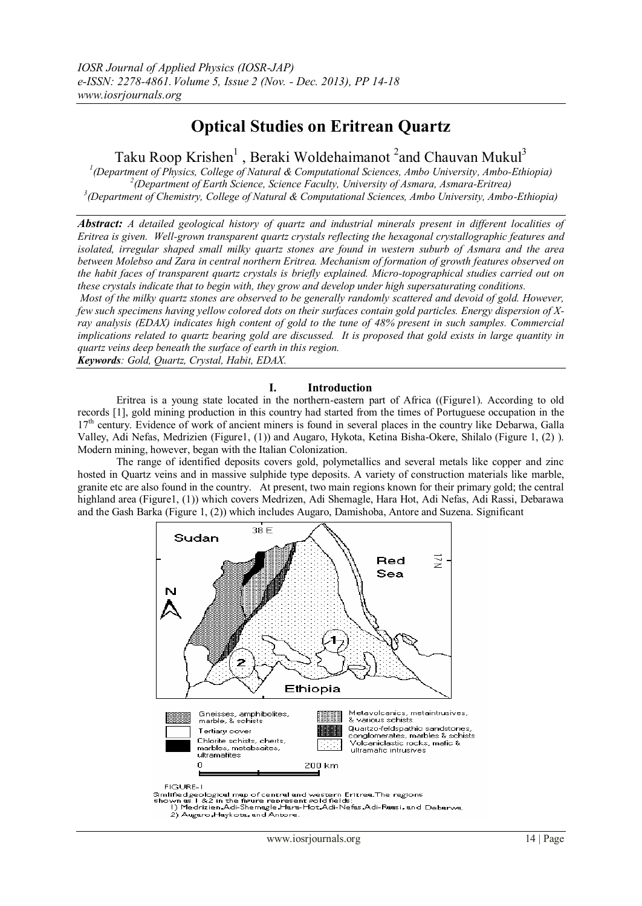# **Optical Studies on Eritrean Quartz**

Taku Roop Krishen<sup>1</sup>, Beraki Woldehaimanot<sup>2</sup> and Chauvan Mukul<sup>3</sup>

*1 (Department of Physics, College of Natural & Computational Sciences, Ambo University, Ambo-Ethiopia) 2 (Department of Earth Science, Science Faculty, University of Asmara, Asmara-Eritrea) 3 (Department of Chemistry, College of Natural & Computational Sciences, Ambo University, Ambo-Ethiopia)*

*Abstract: A detailed geological history of quartz and industrial minerals present in different localities of Eritrea is given. Well-grown transparent quartz crystals reflecting the hexagonal crystallographic features and isolated, irregular shaped small milky quartz stones are found in western suburb of Asmara and the area between Molebso and Zara in central northern Eritrea. Mechanism of formation of growth features observed on the habit faces of transparent quartz crystals is briefly explained. Micro-topographical studies carried out on these crystals indicate that to begin with, they grow and develop under high supersaturating conditions.*

*Most of the milky quartz stones are observed to be generally randomly scattered and devoid of gold. However, few such specimens having yellow colored dots on their surfaces contain gold particles. Energy dispersion of Xray analysis (EDAX) indicates high content of gold to the tune of 48% present in such samples. Commercial implications related to quartz bearing gold are discussed. It is proposed that gold exists in large quantity in quartz veins deep beneath the surface of earth in this region.*

*Keywords: Gold, Quartz, Crystal, Habit, EDAX.*

#### **I. Introduction**

Eritrea is a young state located in the northern-eastern part of Africa ((Figure1). According to old records [1], gold mining production in this country had started from the times of Portuguese occupation in the 17<sup>th</sup> century. Evidence of work of ancient miners is found in several places in the country like Debarwa, Galla Valley, Adi Nefas, Medrizien (Figure1, (1)) and Augaro, Hykota, Ketina Bisha-Okere, Shilalo (Figure 1, (2) ). Modern mining, however, began with the Italian Colonization.

The range of identified deposits covers gold, polymetallics and several metals like copper and zinc hosted in Quartz veins and in massive sulphide type deposits. A variety of construction materials like marble, granite etc are also found in the country. At present, two main regions known for their primary gold; the central highland area (Figure1, (1)) which covers Medrizen, Adi Shemagle, Hara Hot, Adi Nefas, Adi Rassi, Debarawa and the Gash Barka (Figure 1, (2)) which includes Augaro, Damishoba, Antore and Suzena. Significant

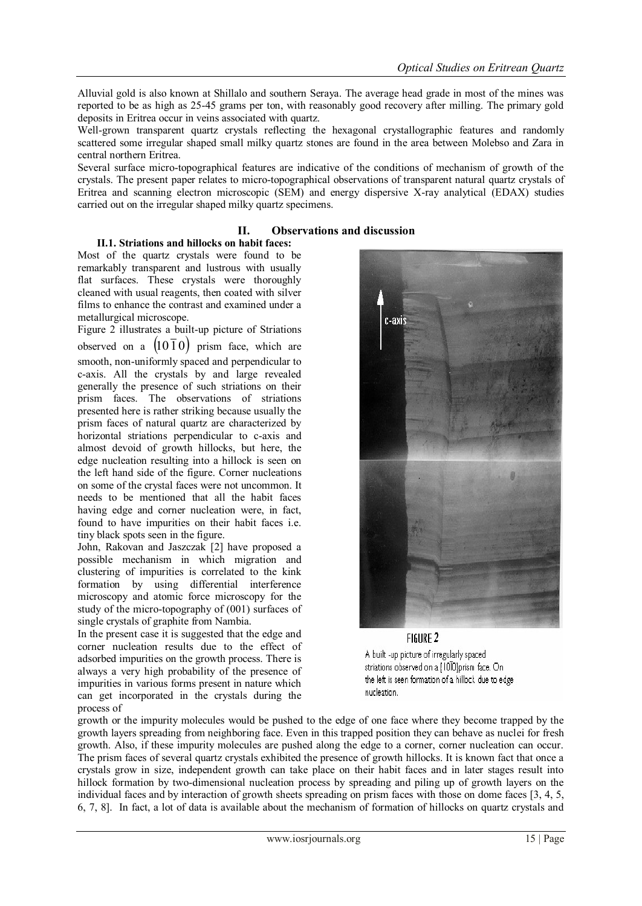Alluvial gold is also known at Shillalo and southern Seraya. The average head grade in most of the mines was reported to be as high as 25-45 grams per ton, with reasonably good recovery after milling. The primary gold deposits in Eritrea occur in veins associated with quartz.

Well-grown transparent quartz crystals reflecting the hexagonal crystallographic features and randomly scattered some irregular shaped small milky quartz stones are found in the area between Molebso and Zara in central northern Eritrea.

Several surface micro-topographical features are indicative of the conditions of mechanism of growth of the crystals. The present paper relates to micro-topographical observations of transparent natural quartz crystals of Eritrea and scanning electron microscopic (SEM) and energy dispersive X-ray analytical (EDAX) studies carried out on the irregular shaped milky quartz specimens.

## **II. Observations and discussion**

# **II.1. Striations and hillocks on habit faces:**

Most of the quartz crystals were found to be remarkably transparent and lustrous with usually flat surfaces. These crystals were thoroughly cleaned with usual reagents, then coated with silver films to enhance the contrast and examined under a metallurgical microscope.

Figure 2 illustrates a built-up picture of Striations observed on a  $(1010)$  prism face, which are smooth, non-uniformly spaced and perpendicular to c-axis. All the crystals by and large revealed generally the presence of such striations on their prism faces. The observations of striations presented here is rather striking because usually the prism faces of natural quartz are characterized by horizontal striations perpendicular to c-axis and almost devoid of growth hillocks, but here, the edge nucleation resulting into a hillock is seen on the left hand side of the figure. Corner nucleations on some of the crystal faces were not uncommon. It needs to be mentioned that all the habit faces having edge and corner nucleation were, in fact, found to have impurities on their habit faces i.e. tiny black spots seen in the figure.

John, Rakovan and Jaszczak [2] have proposed a possible mechanism in which migration and clustering of impurities is correlated to the kink formation by using differential interference microscopy and atomic force microscopy for the study of the micro-topography of (001) surfaces of single crystals of graphite from Nambia.

In the present case it is suggested that the edge and corner nucleation results due to the effect of adsorbed impurities on the growth process. There is always a very high probability of the presence of impurities in various forms present in nature which can get incorporated in the crystals during the process of



FIGURE 2

A built -up picture of irregularly spaced striations observed on a {1000}prism face. On the left is seen formation of a hillock due to edge nucleation.

growth or the impurity molecules would be pushed to the edge of one face where they become trapped by the growth layers spreading from neighboring face. Even in this trapped position they can behave as nuclei for fresh growth. Also, if these impurity molecules are pushed along the edge to a corner, corner nucleation can occur. The prism faces of several quartz crystals exhibited the presence of growth hillocks. It is known fact that once a crystals grow in size, independent growth can take place on their habit faces and in later stages result into hillock formation by two-dimensional nucleation process by spreading and piling up of growth layers on the individual faces and by interaction of growth sheets spreading on prism faces with those on dome faces [3, 4, 5, 6, 7, 8]. In fact, a lot of data is available about the mechanism of formation of hillocks on quartz crystals and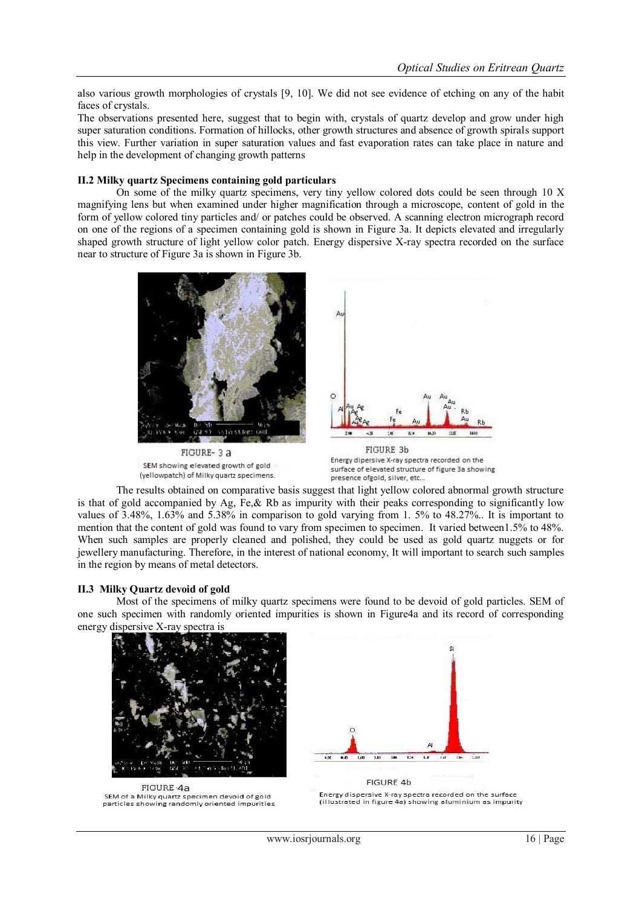also various growth morphologies of crystals [9, 10]. We did not see evidence of etching on any of the habit faces of crystals.

The observations presented here, suggest that to begin with, crystals of quartz develop and grow under high super saturation conditions. Formation of hillocks, other growth structures and absence of growth spirals support this view. Further variation in super saturation values and fast evaporation rates can take place in nature and help in the development of changing growth patterns

#### **II.2 Milky quartz Specimens containing gold particulars**

On some of the milky quartz specimens, very tiny yellow colored dots could be seen through 10 X magnifying lens but when examined under higher magnification through a microscope, content of gold in the form of yellow colored tiny particles and/ or patches could be observed. A scanning electron micrograph record on one of the regions of a specimen containing gold is shown in Figure 3a. It depicts elevated and irregularly shaped growth structure of light yellow color patch. Energy dispersive X-ray spectra recorded on the surface near to structure of Figure 3a is shown in Figure 3b.



The results obtained on comparative basis suggest that light yellow colored abnormal growth structure is that of gold accompanied by Ag, Fe, & Rb as impurity with their peaks corresponding to significantly low values of 3.48%, 1.63% and 5.38% in comparison to gold varying from 1. 5% to 48.27%.. It is important to mention that the content of gold was found to vary from specimen to specimen. It varied between1.5% to 48%. When such samples are properly cleaned and polished, they could be used as gold quartz nuggets or for jewellery manufacturing. Therefore, in the interest of national economy, It will important to search such samples in the region by means of metal detectors.

#### **II.3 Milky Quartz devoid of gold**

Most of the specimens of milky quartz specimens were found to be devoid of gold particles. SEM of one such specimen with randomly oriented impurities is shown in Figure4a and its record of corresponding energy dispersive X-ray spectra is



FIGURE-4a SEM of a Milky quartz specimen devoid of gold<br>particles showing randomly oriented impurities



**FIGURE 4b** Energy dispersive X-ray spectra recorded on the surface (illustrated in figure 4a) showing aluminium as impurity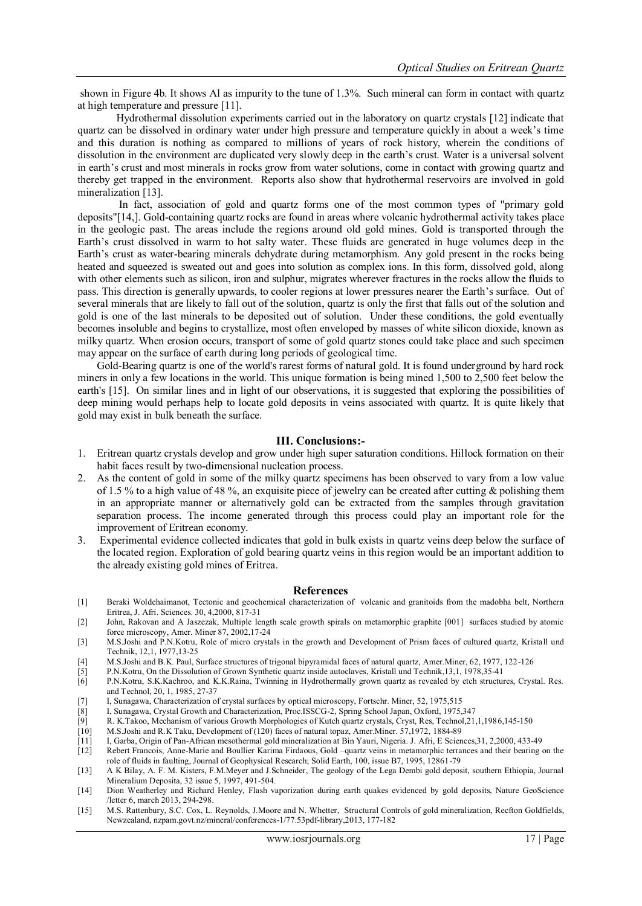shown in Figure 4b. It shows Al as impurity to the tune of 1.3%. Such mineral can form in contact with quartz at high temperature and pressure [11].

Hydrothermal dissolution experiments carried out in the laboratory on quartz crystals [12] indicate that quartz can be dissolved in ordinary water under high pressure and temperature quickly in about a week's time and this duration is nothing as compared to millions of years of rock history, wherein the conditions of dissolution in the environment are duplicated very slowly deep in the earth's crust. Water is a universal solvent in earth's crust and most minerals in rocks grow from water solutions, come in contact with growing quartz and thereby get trapped in the environment. Reports also show that hydrothermal reservoirs are involved in gold mineralization [13].

In fact, association of gold and quartz forms one of the most common types of "primary gold deposits"[14,]. Gold-containing quartz rocks are found in areas where volcanic hydrothermal activity takes place in the geologic past. The areas include the regions around old gold mines. Gold is transported through the Earth's crust dissolved in warm to hot salty water. These fluids are generated in huge volumes deep in the Earth's crust as water-bearing minerals dehydrate during metamorphism. Any gold present in the rocks being heated and squeezed is sweated out and goes into solution as complex ions. In this form, dissolved gold, along with other elements such as silicon, iron and sulphur, migrates wherever fractures in the rocks allow the fluids to pass. This direction is generally upwards, to cooler regions at lower pressures nearer the Earth's surface. Out of several minerals that are likely to fall out of the solution, quartz is only the first that falls out of the solution and gold is one of the last minerals to be deposited out of solution. Under these conditions, the gold eventually becomes insoluble and begins to crystallize, most often enveloped by masses of white silicon dioxide, known as milky quartz. When erosion occurs, transport of some of gold quartz stones could take place and such specimen may appear on the surface of earth during long periods of geological time.

Gold-Bearing quartz is one of the world's rarest forms of natural gold. It is found underground by hard rock miners in only a few locations in the world. This unique formation is being mined 1,500 to 2,500 feet below the earth's [15]. On similar lines and in light of our observations, it is suggested that exploring the possibilities of deep mining would perhaps help to locate gold deposits in veins associated with quartz. It is quite likely that gold may exist in bulk beneath the surface.

#### **III. Conclusions:-**

- 1. Eritrean quartz crystals develop and grow under high super saturation conditions. Hillock formation on their habit faces result by two-dimensional nucleation process.
- 2. As the content of gold in some of the milky quartz specimens has been observed to vary from a low value of 1.5 % to a high value of 48 %, an exquisite piece of jewelry can be created after cutting  $\&$  polishing them in an appropriate manner or alternatively gold can be extracted from the samples through gravitation separation process. The income generated through this process could play an important role for the improvement of Eritrean economy.
- 3. Experimental evidence collected indicates that gold in bulk exists in quartz veins deep below the surface of the located region. Exploration of gold bearing quartz veins in this region would be an important addition to the already existing gold mines of Eritrea.

#### **References**

- [1] Beraki Woldehaimanot, Tectonic and geochemical characterization of volcanic and granitoids from the madobha belt, Northern Eritrea, J. Afri. Sciences. 30, 4,2000, 817-31
- [2] John, Rakovan and A Jaszezak, Multiple length scale growth spirals on metamorphic graphite [001] surfaces studied by atomic force microscopy, Amer. Miner 87, 2002,17-24
- [3] M.S.Joshi and P.N.Kotru, Role of micro crystals in the growth and Development of Prism faces of cultured quartz, Kristall und Technik, 12,1, 1977,13-25
- [4] M.S.Joshi and B.K. Paul, Surface structures of trigonal bipyramidal faces of natural quartz, Amer.Miner, 62, 1977, 122-126
- [5] P.N.Kotru, On the Dissolution of Grown Synthetic quartz inside autoclaves, Kristall und Technik,13,1, 1978,35-41
- [6] P.N.Kotru, S.K.Kachroo, and K.K.Raina, Twinning in Hydrothermally grown quartz as revealed by etch structures, Crystal. Res. and Technol, 20, 1, 1985, 27-37
- [7] I, Sunagawa, Characterization of crystal surfaces by optical microscopy, Fortschr. Miner, 52, 1975,515
- I, Sunagawa, Crystal Growth and Characterization, Proc.ISSCG-2, Spring School Japan, Oxford, 1975,347
- [9] R. K.Takoo, Mechanism of various Growth Morphologies of Kutch quartz crystals, Cryst, Res, Technol,21,1,1986,145-150
- [10] M.S.Joshi and R.K Taku, Development of (120) faces of natural topaz, Amer.Miner. 57,1972, 1884-89
- [11] I, Garba, Origin of Pan-African mesothermal gold mineralization at Bin Yauri, Nigeria. J. Afri, E Sciences,31, 2,2000, 433-49
- [12] Rebert Francois, Anne-Marie and Boullier Karima Firdaous, Gold –quartz veins in metamorphic terrances and their bearing on the role of fluids in faulting, Journal of Geophysical Research; Solid Earth, 100, issue B7, 1995, 12861-79
- [13] A K Bilay, A. F. M. Kisters, F.M.Meyer and J.Schneider, The geology of the Lega Dembi gold deposit, southern Ethiopia, Journal Mineralium Deposita, 32 issue 5, 1997, 491-504.
- [14] Dion Weatherley and Richard Henley, Flash vaporization during earth quakes evidenced by gold deposits, Nature GeoScience /letter 6, march 2013, 294-298.
- [15] M.S. Rattenbury, S.C. Cox, L. Reynolds, J.Moore and N. Whetter, Structural Controls of gold mineralization, Recfton Goldfields, Newzealand, nzpam.govt.nz/mineral/conferences-1/77.53pdf-library,2013, 177-182